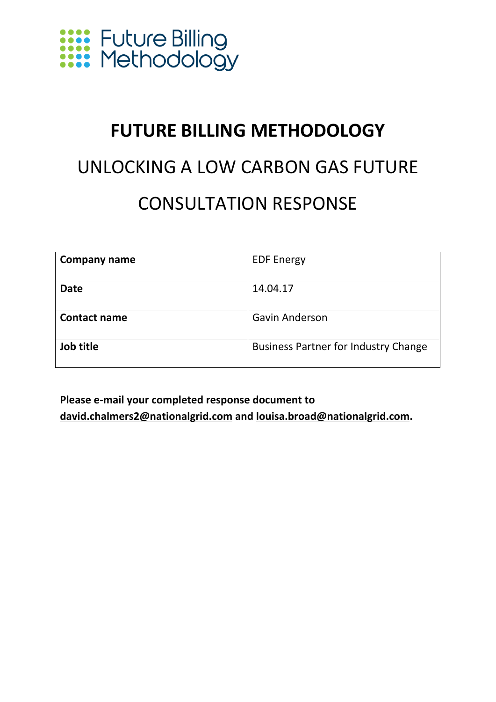

### **FUTURE BILLING METHODOLOGY**

### UNLOCKING A LOW CARBON GAS FUTURE CONSULTATION RESPONSE

| Company name        | <b>EDF Energy</b>                           |
|---------------------|---------------------------------------------|
| <b>Date</b>         | 14.04.17                                    |
|                     |                                             |
| <b>Contact name</b> | <b>Gavin Anderson</b>                       |
|                     |                                             |
| Job title           | <b>Business Partner for Industry Change</b> |
|                     |                                             |

**Please e‐mail your completed response document to david.chalmers2@nationalgrid.com and louisa.broad@nationalgrid.com.**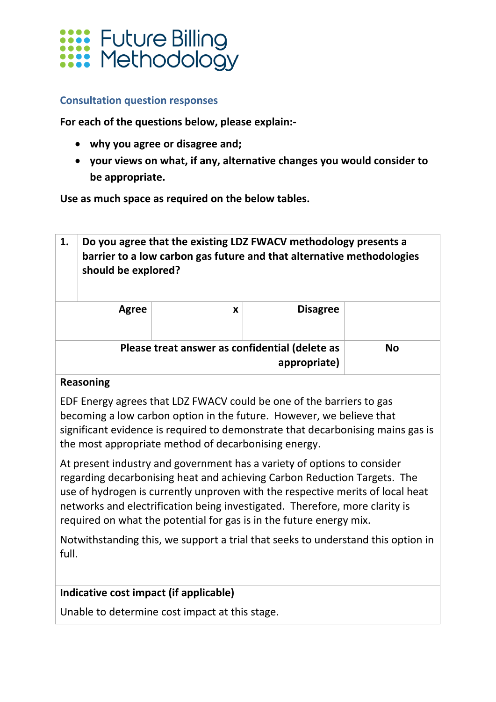

#### **Consultation question responses**

**For each of the questions below, please explain:‐** 

- **why you agree or disagree and;**
- **your views on what, if any, alternative changes you would consider to be appropriate.**

**Use as much space as required on the below tables.**

| 1. | Do you agree that the existing LDZ FWACV methodology presents a<br>barrier to a low carbon gas future and that alternative methodologies<br>should be explored? |   |                                                                |           |
|----|-----------------------------------------------------------------------------------------------------------------------------------------------------------------|---|----------------------------------------------------------------|-----------|
|    | Agree                                                                                                                                                           | X | <b>Disagree</b>                                                |           |
|    |                                                                                                                                                                 |   | Please treat answer as confidential (delete as<br>appropriate) | <b>No</b> |
|    | Reasoning                                                                                                                                                       |   |                                                                |           |

EDF Energy agrees that LDZ FWACV could be one of the barriers to gas becoming a low carbon option in the future. However, we believe that significant evidence is required to demonstrate that decarbonising mains gas is the most appropriate method of decarbonising energy.

At present industry and government has a variety of options to consider regarding decarbonising heat and achieving Carbon Reduction Targets. The use of hydrogen is currently unproven with the respective merits of local heat networks and electrification being investigated. Therefore, more clarity is required on what the potential for gas is in the future energy mix.

Notwithstanding this, we support a trial that seeks to understand this option in full.

### **Indicative cost impact (if applicable)**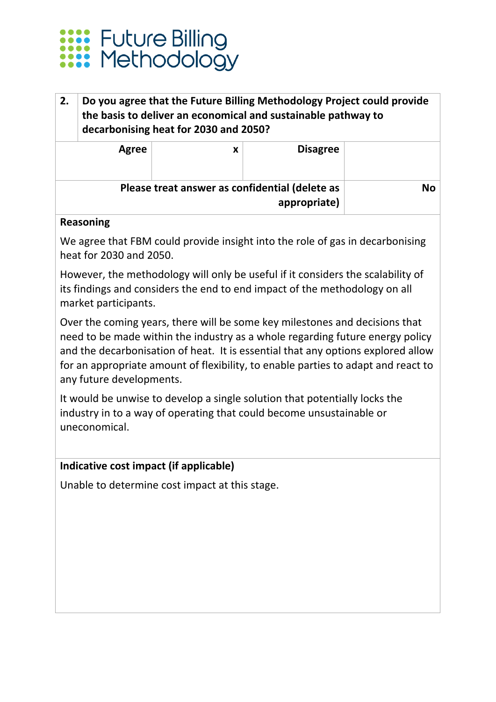

### **2. Do you agree that the Future Billing Methodology Project could provide the basis to deliver an economical and sustainable pathway to decarbonising heat for 2030 and 2050?**

|      | <b>Disagree</b>                                                | х | Agree |  |
|------|----------------------------------------------------------------|---|-------|--|
| No l | Please treat answer as confidential (delete as<br>appropriate) |   |       |  |

### **Reasoning**

We agree that FBM could provide insight into the role of gas in decarbonising heat for 2030 and 2050.

However, the methodology will only be useful if it considers the scalability of its findings and considers the end to end impact of the methodology on all market participants.

Over the coming years, there will be some key milestones and decisions that need to be made within the industry as a whole regarding future energy policy and the decarbonisation of heat. It is essential that any options explored allow for an appropriate amount of flexibility, to enable parties to adapt and react to any future developments.

It would be unwise to develop a single solution that potentially locks the industry in to a way of operating that could become unsustainable or uneconomical.

### **Indicative cost impact (if applicable)**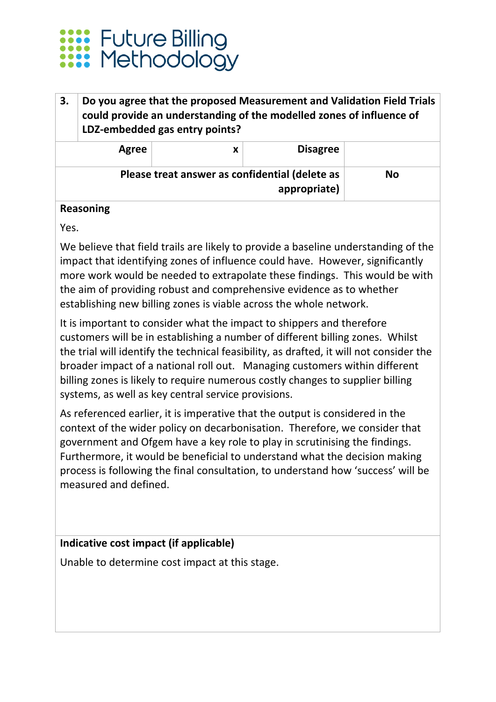

### **3. Do you agree that the proposed Measurement and Validation Field Trials could provide an understanding of the modelled zones of influence of LDZ‐embedded gas entry points?**

|    | <b>Disagree</b>                                                | Agree |  |
|----|----------------------------------------------------------------|-------|--|
| No | Please treat answer as confidential (delete as<br>appropriate) |       |  |

### **Reasoning**

Yes.

We believe that field trails are likely to provide a baseline understanding of the impact that identifying zones of influence could have. However, significantly more work would be needed to extrapolate these findings. This would be with the aim of providing robust and comprehensive evidence as to whether establishing new billing zones is viable across the whole network.

It is important to consider what the impact to shippers and therefore customers will be in establishing a number of different billing zones. Whilst the trial will identify the technical feasibility, as drafted, it will not consider the broader impact of a national roll out. Managing customers within different billing zones is likely to require numerous costly changes to supplier billing systems, as well as key central service provisions.

As referenced earlier, it is imperative that the output is considered in the context of the wider policy on decarbonisation. Therefore, we consider that government and Ofgem have a key role to play in scrutinising the findings. Furthermore, it would be beneficial to understand what the decision making process is following the final consultation, to understand how 'success' will be measured and defined.

### **Indicative cost impact (if applicable)**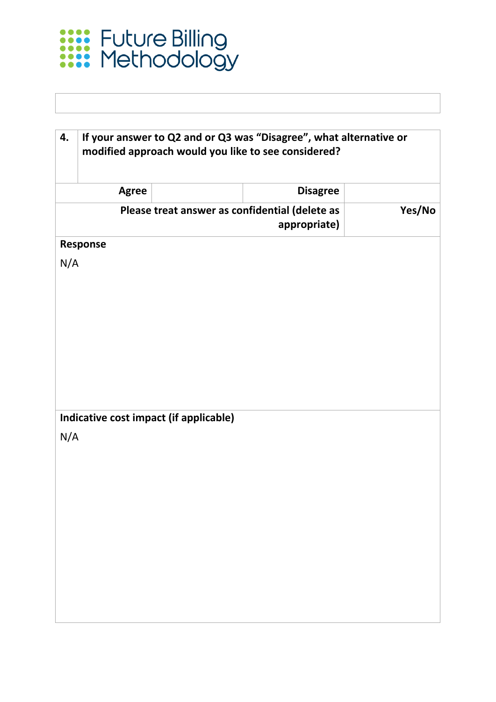

| 4.  |              |                                        | If your answer to Q2 and or Q3 was "Disagree", what alternative or<br>modified approach would you like to see considered? |        |
|-----|--------------|----------------------------------------|---------------------------------------------------------------------------------------------------------------------------|--------|
|     | <b>Agree</b> |                                        | <b>Disagree</b>                                                                                                           |        |
|     |              |                                        | Please treat answer as confidential (delete as<br>appropriate)                                                            | Yes/No |
|     | Response     |                                        |                                                                                                                           |        |
| N/A |              |                                        |                                                                                                                           |        |
|     |              |                                        |                                                                                                                           |        |
|     |              |                                        |                                                                                                                           |        |
|     |              |                                        |                                                                                                                           |        |
|     |              |                                        |                                                                                                                           |        |
|     |              |                                        |                                                                                                                           |        |
|     |              |                                        |                                                                                                                           |        |
|     |              | Indicative cost impact (if applicable) |                                                                                                                           |        |
| N/A |              |                                        |                                                                                                                           |        |
|     |              |                                        |                                                                                                                           |        |
|     |              |                                        |                                                                                                                           |        |
|     |              |                                        |                                                                                                                           |        |
|     |              |                                        |                                                                                                                           |        |
|     |              |                                        |                                                                                                                           |        |
|     |              |                                        |                                                                                                                           |        |
|     |              |                                        |                                                                                                                           |        |
|     |              |                                        |                                                                                                                           |        |
|     |              |                                        |                                                                                                                           |        |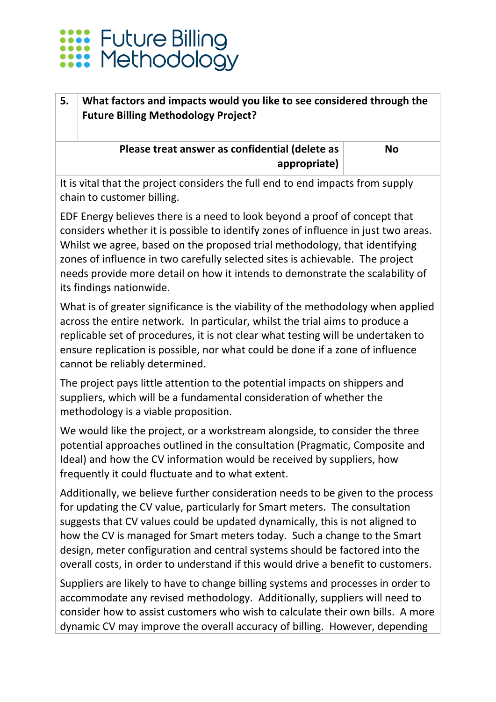## Future Billing<br>Methodology

### **5. What factors and impacts would you like to see considered through the Future Billing Methodology Project?**

**Please treat answer as confidential (delete as appropriate)**

**No**

It is vital that the project considers the full end to end impacts from supply chain to customer billing.

EDF Energy believes there is a need to look beyond a proof of concept that considers whether it is possible to identify zones of influence in just two areas. Whilst we agree, based on the proposed trial methodology, that identifying zones of influence in two carefully selected sites is achievable. The project needs provide more detail on how it intends to demonstrate the scalability of its findings nationwide.

What is of greater significance is the viability of the methodology when applied across the entire network. In particular, whilst the trial aims to produce a replicable set of procedures, it is not clear what testing will be undertaken to ensure replication is possible, nor what could be done if a zone of influence cannot be reliably determined.

The project pays little attention to the potential impacts on shippers and suppliers, which will be a fundamental consideration of whether the methodology is a viable proposition.

We would like the project, or a workstream alongside, to consider the three potential approaches outlined in the consultation (Pragmatic, Composite and Ideal) and how the CV information would be received by suppliers, how frequently it could fluctuate and to what extent.

Additionally, we believe further consideration needs to be given to the process for updating the CV value, particularly for Smart meters. The consultation suggests that CV values could be updated dynamically, this is not aligned to how the CV is managed for Smart meters today. Such a change to the Smart design, meter configuration and central systems should be factored into the overall costs, in order to understand if this would drive a benefit to customers.

Suppliers are likely to have to change billing systems and processes in order to accommodate any revised methodology. Additionally, suppliers will need to consider how to assist customers who wish to calculate their own bills. A more dynamic CV may improve the overall accuracy of billing. However, depending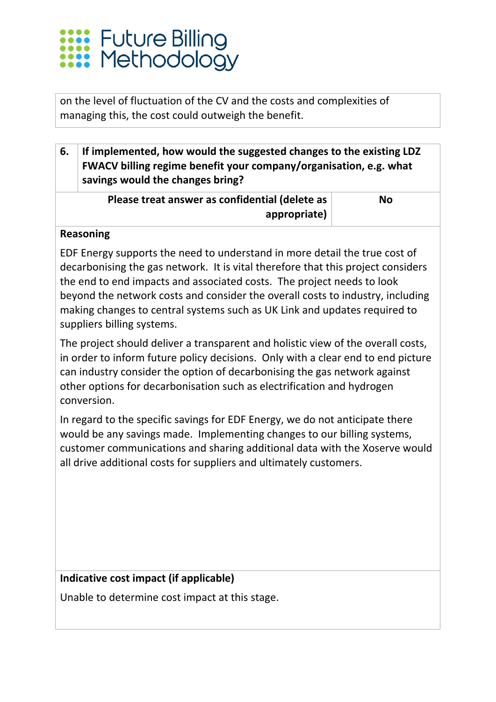# **Euture Billing<br>Executor Methodology**

on the level of fluctuation of the CV and the costs and complexities of managing this, the cost could outweigh the benefit.

**6. If implemented, how would the suggested changes to the existing LDZ FWACV billing regime benefit your company/organisation, e.g. what savings would the changes bring?** 

| Please treat answer as confidential (delete as | <b>No</b> |
|------------------------------------------------|-----------|
| appropriate)                                   |           |

### **Reasoning**

EDF Energy supports the need to understand in more detail the true cost of decarbonising the gas network. It is vital therefore that this project considers the end to end impacts and associated costs. The project needs to look beyond the network costs and consider the overall costs to industry, including making changes to central systems such as UK Link and updates required to suppliers billing systems.

The project should deliver a transparent and holistic view of the overall costs, in order to inform future policy decisions. Only with a clear end to end picture can industry consider the option of decarbonising the gas network against other options for decarbonisation such as electrification and hydrogen conversion.

In regard to the specific savings for EDF Energy, we do not anticipate there would be any savings made. Implementing changes to our billing systems, customer communications and sharing additional data with the Xoserve would all drive additional costs for suppliers and ultimately customers.

### **Indicative cost impact (if applicable)**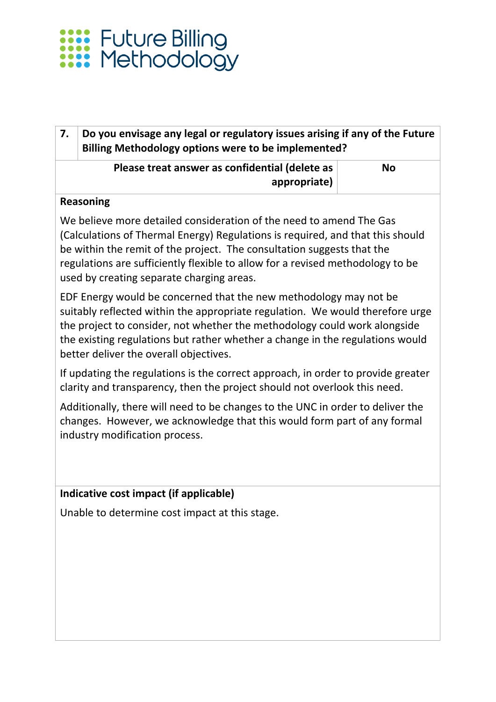

### **7. Do you envisage any legal or regulatory issues arising if any of the Future Billing Methodology options were to be implemented?**

### **Please treat answer as confidential (delete as appropriate)**

**No**

### **Reasoning**

We believe more detailed consideration of the need to amend The Gas (Calculations of Thermal Energy) Regulations is required, and that this should be within the remit of the project. The consultation suggests that the regulations are sufficiently flexible to allow for a revised methodology to be used by creating separate charging areas.

EDF Energy would be concerned that the new methodology may not be suitably reflected within the appropriate regulation. We would therefore urge the project to consider, not whether the methodology could work alongside the existing regulations but rather whether a change in the regulations would better deliver the overall objectives.

If updating the regulations is the correct approach, in order to provide greater clarity and transparency, then the project should not overlook this need.

Additionally, there will need to be changes to the UNC in order to deliver the changes. However, we acknowledge that this would form part of any formal industry modification process.

### **Indicative cost impact (if applicable)**